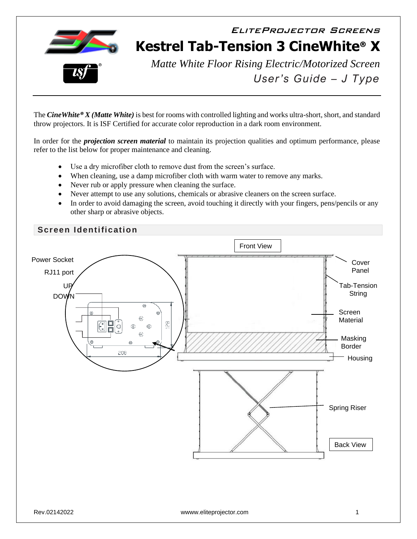

EliteProjector Screens **Kestrel Tab-Tension 3 CineWhite® X**



*Matte White Floor Rising Electric/Motorized Screen User's Guide – J Type*

The *CineWhite® X (Matte White)* is best for rooms with controlled lighting and works ultra-short, short, and standard throw projectors. It is ISF Certified for accurate color reproduction in a dark room environment.

In order for the *projection screen material* to maintain its projection qualities and optimum performance, please refer to the list below for proper maintenance and cleaning.

- Use a dry microfiber cloth to remove dust from the screen's surface.
- When cleaning, use a damp microfiber cloth with warm water to remove any marks.
- Never rub or apply pressure when cleaning the surface.
- Never attempt to use any solutions, chemicals or abrasive cleaners on the screen surface.
- In order to avoid damaging the screen, avoid touching it directly with your fingers, pens/pencils or any other sharp or abrasive objects.

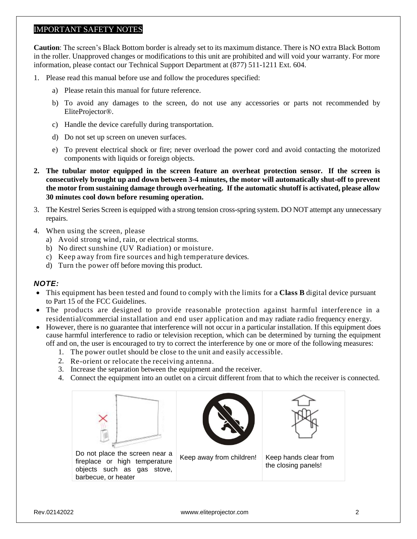### IMPORTANT SAFETY NOTES

**Caution**: The screen's Black Bottom border is already set to its maximum distance. There is NO extra Black Bottom in the roller. Unapproved changes or modifications to this unit are prohibited and will void your warranty. For more information, please contact our Technical Support Department at (877) 511-1211 Ext. 604.

- 1. Please read this manual before use and follow the procedures specified:
	- a) Please retain this manual for future reference.
	- b) To avoid any damages to the screen, do not use any accessories or parts not recommended by EliteProjector®.
	- c) Handle the device carefully during transportation.
	- d) Do not set up screen on uneven surfaces.
	- e) To prevent electrical shock or fire; never overload the power cord and avoid contacting the motorized components with liquids or foreign objects.
- **2. The tubular motor equipped in the screen feature an overheat protection sensor. If the screen is consecutively brought up and down between 3-4 minutes, the motor will automatically shut-off to prevent the motor from sustaining damage through overheating. If the automatic shutoff is activated, please allow 30 minutes cool down before resuming operation.**
- 3. The Kestrel Series Screen is equipped with a strong tension cross-spring system. DO NOT attempt any unnecessary repairs.
- 4. When using the screen, please
	- a) Avoid strong wind, rain, or electrical storms.
	- b) No direct sunshine (UV Radiation) or moisture.
	- c) Keep away from fire sources and high temperature devices.
	- d) Turn the power off before moving this product.

#### *NOTE:*

- This equipment has been tested and found to comply with the limits for a **Class B** digital device pursuant to Part 15 of the FCC Guidelines.
- The products are designed to provide reasonable protection against harmful interference in a residential/commercial installation and end user application and may radiate radio frequency energy.
- However, there is no guarantee that interference will not occur in a particular installation. If this equipment does cause harmful interference to radio or television reception, which can be determined by turning the equipment off and on, the user is encouraged to try to correct the interference by one or more of the following measures:
	- 1. The power outlet should be close to the unit and easily accessible.
	- 2. Re-orient or relocate the receiving antenna.
	- 3. Increase the separation between the equipment and the receiver.
	- 4. Connect the equipment into an outlet on a circuit different from that to which the receiver is connected.

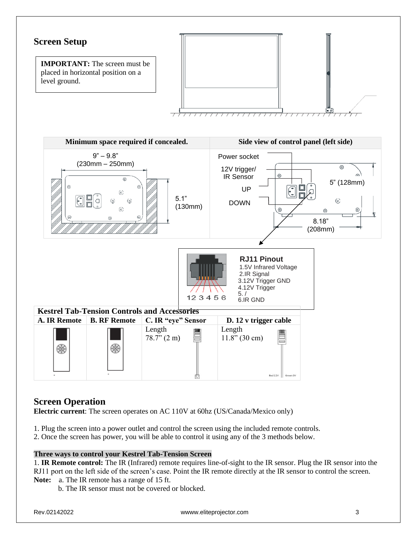

## **Screen Operation**

**Electric current**: The screen operates on AC 110V at 60hz (US/Canada/Mexico only)

- 1. Plug the screen into a power outlet and control the screen using the included remote controls.
- 2. Once the screen has power, you will be able to control it using any of the 3 methods below.

### **Three ways to control your Kestrel Tab-Tension Screen**

1. **IR Remote control:** The IR (Infrared) remote requires line-of-sight to the IR sensor. Plug the IR sensor into the RJ11 port on the left side of the screen's case. Point the IR remote directly at the IR sensor to control the screen. **Note:** a. The IR remote has a range of 15 ft.

b. The IR sensor must not be covered or blocked.